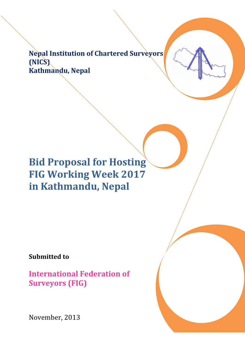Nepal Institution of Chartered Surveyors (NICS) Kathmandu, Nepal

Bid Proposal for Hosting FIG Working Week 2017 in Kathmandu, Nepal

Submitted to

International Federation of Surveyors (FIG)

November, 2013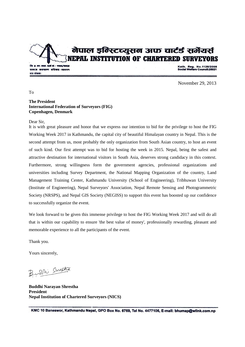नेपाल इन्स्टिच्युसन अफ चार्टर्ड सर्नेयर्स **NEPAL INSTITUTION OF CHARTERED SURVEYORS** 

**Dr. y. का. काठ. दर्ता नं.:- १९१६/१०६** समाज कल्याण परिषदः-१५०१९ पत्र संख्याः

Kath. Reg. No.1126/2008<br>Social Welfare Council:25021

November 29, 2013

To

#### **The President International Federation of Surveyors (FIG) Copenhagen, Denmark**

Dear Sir,

It is with great pleasure and honor that we express our intention to bid for the privilege to host the FIG Working Week 2017 in Kathmandu, the capital city of beautiful Himalayan country in Nepal. This is the second attempt from us, most probably the only organization from South Asian country, to host an event of such kind. Our first attempt was to bid for hosting the week in 2015. Nepal, being the safest and attractive destination for international visitors in South Asia, deserves strong candidacy in this context. Furthermore, strong willingness form the government agencies, professional organizations and universities including Survey Department, the National Mapping Organization of the country, Land Management Training Center, Kathmandu University (School of Engineering), Tribhuwan University (Institute of Engineering), Nepal Surveyors' Association, Nepal Remote Sensing and Photogrammetric Society (NRSPS), and Nepal GIS Society (NEGISS) to support this event has boosted up our confidence to successfully organize the event.

We look forward to be given this immense privilege to host the FIG Working Week 2017 and will do all that is within our capability to ensure 'the best value of money', professionally rewarding, pleasant and memorable experience to all the participants of the event.

Thank you.

Yours sincerely,

Burdhi Shreetza

**Buddhi Narayan Shrestha President Nepal Institution of Chartered Surveyors (NICS)**

KMC 10 Baneswor, Kathmandu Nepal, GPO Box No. 6769, Tel No. 4477106, E-mail: bhumap@wlink.com.np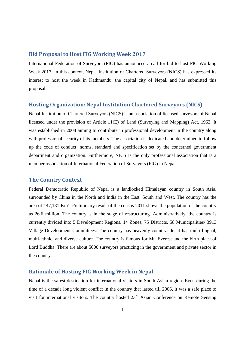### Bid Proposal to Host FIG Working Week 2017

International Federation of Surveyors (FIG) has announced a call for bid to host FIG Working Week 2017. In this context, Nepal Institution of Chartered Surveyors (NICS) has expressed its interest to host the week in Kathmandu, the capital city of Nepal, and has submitted this proposal.

### Hosting Organization: Nepal Institution Chartered Surveyors (NICS)

Nepal Institution of Chartered Surveyors (NICS) is an association of licensed surveyors of Nepal licensed under the provision of Article 11(E) of Land (Surveying and Mapping) Act, 1963. It was established in 2008 aiming to contribute in professional development in the country along with professional security of its members. The association is dedicated and determined to follow up the code of conduct, norms, standard and specification set by the concerned government department and organization. Furthermore, NICS is the only professional association that is a member association of International Federation of Surveyors (FIG) in Nepal.

### The Country Context

Federal Democratic Republic of Nepal is a landlocked Himalayan country in South Asia, surrounded by China in the North and India in the East, South and West. The country has the area of  $147,181$  Km<sup>2</sup>. Preliminary result of the census 2011 shows the population of the country as 26.6 million. The country is in the stage of restructuring. Administratively, the country is currently divided into 5 Development Regions, 14 Zones, 75 Districts, 58 Municipalities/ 3913 Village Development Committees. The country has heavenly countryside. It has multi-lingual, multi-ethnic, and diverse culture. The country is famous for Mt. Everest and the birth place of Lord Buddha. There are about 5000 surveyors practicing in the government and private sector in the country.

# Rationale of Hosting FIG Working Week in Nepal

Nepal is the safest destination for international visitors in South Asian region. Even during the time of a decade long violent conflict in the country that lasted till 2006, it was a safe place to visit for international visitors. The country hosted 23<sup>rd</sup> Asian Conference on Remote Sensing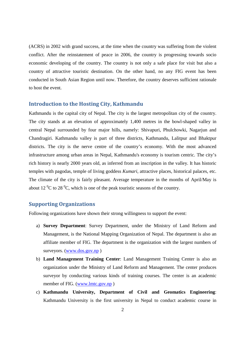(ACRS) in 2002 with grand success, at the time when the country was suffering from the violent conflict. After the reinstatement of peace in 2006, the country is progressing towards socio economic developing of the country. The country is not only a safe place for visit but also a country of attractive touristic destination. On the other hand, no any FIG event has been conducted in South Asian Region until now. Therefore, the country deserves sufficient rationale to host the event.

### Introduction to the Hosting City, Kathmandu

Kathmandu is the capital city of Nepal. The city is the largest metropolitan city of the country. The city stands at an elevation of approximately 1,400 metres in the bowl-shaped valley in central Nepal surrounded by four major hills, namely: Shivapuri, Phulchowki, Nagarjun and Chandragiri. Kathmandu valley is part of three districts, Kathmandu, Lalitpur and Bhaktpur districts. The city is the nerve centre of the country's economy. With the most advanced infrastructure among urban areas in Nepal, Kathmandu's economy is tourism centric. The city's rich history is nearly 2000 years old, as inferred from an inscription in the valley. It has historic temples with pagodas, temple of living goddess *Kumari*, attractive places, historical palaces, etc. The climate of the city is fairly pleasant. Average temperature in the months of April/May is about 12 $\mathrm{^{0}C}$  to 28 $\mathrm{^{0}C}$ , which is one of the peak touristic seasons of the country.

# Supporting Organizations

Following organizations have shown their strong willingness to support the event:

- a) **Survey Department**: Survey Department, under the Ministry of Land Reform and Management, is the National Mapping Organization of Nepal. The department is also an affiliate member of FIG. The department is the organization with the largest numbers of surveyors. (www.dos.gov.np )
- b) **Land Management Training Center**: Land Management Training Center is also an organization under the Ministry of Land Reform and Management. The center produces surveyor by conducting various kinds of training courses. The center is an academic member of FIG. (www.lmtc.gov.np)
- c) **Kathmandu University, Department of Civil and Geomatics Engineering**: Kathmandu University is the first university in Nepal to conduct academic course in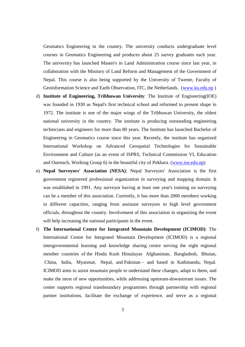Geomatics Engineering in the country. The university conducts undergraduate level courses in Geomatics Engineering and produces about 25 survey graduates each year. The university has launched Master's in Land Administration course since last year, in collaboration with the Ministry of Land Reform and Management of the Government of Nepal. This course is also being supported by the University of Twente, Faculty of Geoinformation Science and Earth Observation, ITC, the Netherlands. (www.ku.edu.np )

- d) **Institute of Engineering, Tribhuwan University**: The Institute of Engineering(IOE) was founded in 1930 as Nepal's first technical school and reformed to present shape in 1972. The institute is one of the major wings of the Tribhuwan University, the oldest national university in the country. The institute is producing outstanding engineering technicians and engineers for more than 80 years. The Institute has launched Bachelor of Engineering in Geomatics course since this year. Recently, the institute has organized International Workshop on Advanced Geospatial Technologies for Sustainable Environment and Culture (as an event of ISPRS, Technical Commission VI, Education and Outreach, Working Group 6) in the beautiful city of Pokhara. (www.ioe.edu.np)
- e) **Nepal Surveyors' Association (NESA)**: Nepal Surveyors' Association is the first government registered professional organization in surveying and mapping domain. It was established in 1991. Any surveyor having at least one year's training on surveying can be a member of this association. Currently, it has more than 2000 members working in different capacities, ranging from assistant surveyors to high level government officials, throughout the country. Involvement of this association in organizing the event will help increasing the national participants in the event.
- f) **The International Centre for Integrated Mountain Development (ICIMOD)**: The International Centre for Integrated Mountain Development (ICIMOD) is a regional intergovernmental learning and knowledge sharing centre serving the eight regional member countries of the Hindu Kush Himalayas Afghanistan, Bangladesh, Bhutan, China, India, Myanmar, Nepal, and Pakistan – and based in Kathmandu, Nepal. ICIMOD aims to assist mountain people to understand these changes, adapt to them, and make the most of new opportunities, while addressing upstream-downstream issues. The center supports regional transboundary programmes through partnership with regional partner institutions, facilitate the exchange of experience, and serve as a regional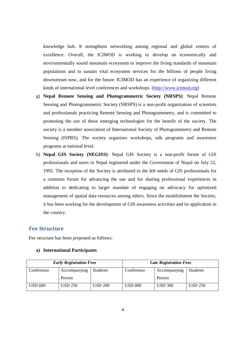knowledge hub. It strengthens networking among regional and global centres of excellence. Overall, the ICIMOD is working to develop an economically and environmentally sound mountain ecosystem to improve the living standards of mountain populations and to sustain vital ecosystem services for the billions of people living downstream now, and for the future. ICIMOD has an experience of organizing different kinds of international level conferences and workshops. (http://www.icimod.org)

- g) **Nepal Remote Sensing and Photogrammetric Society (NRSPS)**: Nepal Remote Sensing and Photogrammetric Society (NRSPS) is a non-profit organization of scientists and professionals practicing Remote Sensing and Photogrammetry, and is committed to promoting the use of these emerging technologies for the benefit of the society. The society is a member association of International Society of Photogrammetry and Remote Sensing (ISPRS). The society organizes workshops, talk programs and awareness programs at national level.
- h) **Nepal GIS Society (NEGISS)**: Nepal GIS Society is a non-profit forum of GIS professionals and users in Nepal registered under the Government of Nepal on July 22, 1995. The inception of the Society is attributed to the felt needs of GIS professionals for a common forum for advancing the use and for sharing professional experiences in addition to dedicating to larger mandate of engaging on advocacy for optimized management of spatial data resources among others. Since the establishment the Society, it has been working for the development of GIS awareness activities and its application in the country.

# Fee Structure

Fee structure has been proposed as follows:

#### **a) International Participants**

| <b>Early Registration Fees</b> |              |                 | <b>Late Registration Fees</b> |                |                 |
|--------------------------------|--------------|-----------------|-------------------------------|----------------|-----------------|
| Conference                     | Accompanying | <b>Students</b> | Conference                    | Accompanying   | <b>Students</b> |
|                                | Person       |                 |                               | Person         |                 |
| <b>USD 600</b>                 | USD 250      | <b>USD 200</b>  | USD 800                       | <b>USD 300</b> | <b>USD 250</b>  |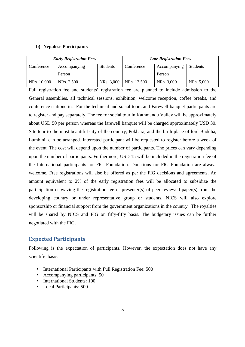#### **b) Nepalese Participants**

| <b>Early Registration Fees</b> |                         |                 | <b>Late Registration Fees</b> |              |                 |
|--------------------------------|-------------------------|-----------------|-------------------------------|--------------|-----------------|
| Conference                     | Accompanying            | <b>Students</b> | Conference                    | Accompanying | <b>Students</b> |
|                                | Person                  |                 |                               | Person       |                 |
| NRs. 10,000                    | NR <sub>s</sub> . 2,500 | NRs. 3,000      | NRs. 12,500                   | NRs. 3,000   | NRs. 5,000      |

Full registration fee and students' registration fee are planned to include admission to the General assemblies, all technical sessions, exhibition, welcome reception, coffee breaks, and conference stationeries. For the technical and social tours and Farewell banquet participants are to register and pay separately. The fee for social tour in Kathmandu Valley will be approximately about USD 50 per person whereas the farewell banquet will be charged approximately USD 30. Site tour to the most beautiful city of the country, Pokhara, and the birth place of lord Buddha, Lumbini, can be arranged. Interested participant will be requested to register before a week of the event. The cost will depend upon the number of participants. The prices can vary depending upon the number of participants. Furthermore, USD 15 will be included in the registration fee of the International participants for FIG Foundation. Donations for FIG Foundation are always welcome. Free registrations will also be offered as per the FIG decisions and agreements. An amount equivalent to 2% of the early registration fees will be allocated to subsidize the participation or waving the registration fee of presenter(s) of peer reviewed paper(s) from the developing country or under representative group or students. NICS will also explore sponsorship or financial support from the government organizations in the country. The royalties will be shared by NICS and FIG on fifty-fifty basis. The budgetary issues can be further negotiated with the FIG.

### Expected Participants

Following is the expectation of participants. However, the expectation does not have any scientific basis.

- International Participants with Full Registration Fee: 500
- Accompanying participants: 50
- International Students: 100
- Local Participants: 500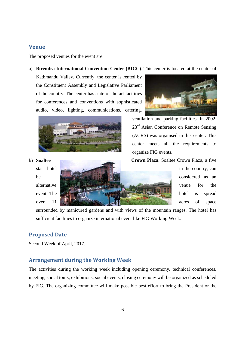# Venue

The proposed venues for the event are:

#### a) **Birendra International Convention Center (BICC)**. This center is located at the center of

Kathmandu Valley. Currently, the center is rented by the Constituent Assembly and Legislative Parliament of the country. The center has state-of-the-art facilities for conferences and conventions with sophisticated audio, video, lighting, communications, catering,





ventilation and parking facilities. In 2002, 23<sup>rd</sup> Asian Conference on Remote Sensing (ACRS) was organised in this center. This center meets all the requirements to organize FIG events.

b) **Soaltee Crown Plaza**. Soaltee Crown Plaza, a five



surrounded by manicured gardens and with views of the mountain ranges. The hotel has sufficient facilities to organize international event like FIG Working Week.

## Proposed Date

Second Week of April, 2017.

# Arrangement during the Working Week

The activities during the working week including opening ceremony, technical conferences, meeting, social tours, exhibitions, social events, closing ceremony will be organized as scheduled by FIG. The organizing committee will make possible best effort to bring the President or the